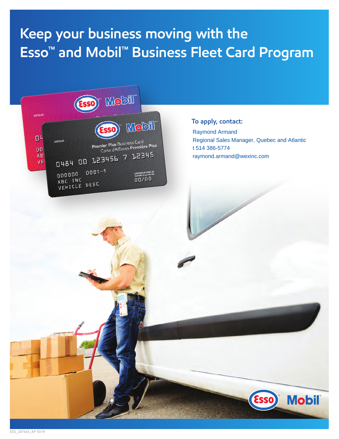## **Keep your business moving with the Esso™ and Mobil™ Business Fleet Card Program**



#### **To apply, contact:**

Raymond Armand Regional Sales Manager, Quebec and Atlantic t 514 386-5774 raymond.armand@wexinc.com

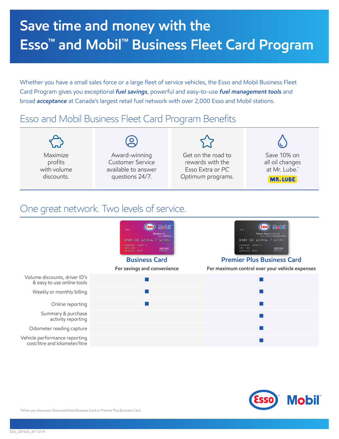# **Save time and money with the Esso™ and Mobil™ Business Fleet Card Program**

Whether you have a small sales force or a large fleet of service vehicles, the Esso and Mobil Business Fleet Card Program gives you exceptional *fuel savings*, powerful and easy-to-use *fuel management tools* and broad *acceptance* at Canada's largest retail fuel network with over 2,000 Esso and Mobil stations.

## Esso and Mobil Business Fleet Card Program Benefits

|             | $\mathbf{S}$            |                    |                 |
|-------------|-------------------------|--------------------|-----------------|
| Maximize    | Award-winning           | Get on the road to | Save 10% on     |
| profits     | <b>Customer Service</b> | rewards with the   | all oil changes |
| with volume | available to answer     | Esso Extra or PC   | at Mr. Lube.*   |
| discounts.  | questions 24/7.         | Optimum programs.  | <b>MR.LUBE</b>  |

### One great network. Two levels of service.





\*When you show your Esso and Mobil Business Card or Premier Plus Business Card.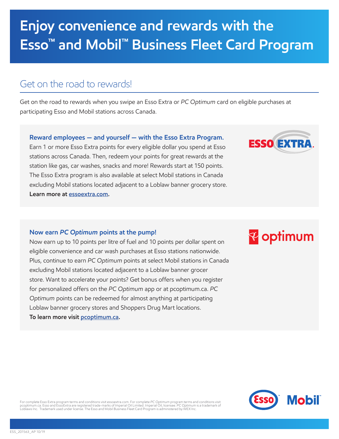## **Enjoy convenience and rewards with the Esso™ and Mobil™ Business Fleet Card Program**

### Get on the road to rewards!

Get on the road to rewards when you swipe an Esso Extra or *PC Optimum* card on eligible purchases at participating Esso and Mobil stations across Canada.

### **Reward employees — and yourself — with the Esso Extra Program.**

Earn 1 or more Esso Extra points for every eligible dollar you spend at Esso stations across Canada. Then, redeem your points for great rewards at the station like gas, car washes, snacks and more! Rewards start at 150 points. The Esso Extra program is also available at select Mobil stations in Canada excluding Mobil stations located adjacent to a Loblaw banner grocery store. **Learn more at [essoextra.com](https://www.essoextra.com/pages/Home.aspx?lang=en-CA).**

### **Now earn** *PC Optimum* **points at the pump!**

Now earn up to 10 points per litre of fuel and 10 points per dollar spent on eligible convenience and car wash purchases at Esso stations nationwide. Plus, continue to earn *PC Optimum* points at select Mobil stations in Canada excluding Mobil stations located adjacent to a Loblaw banner grocer store. Want to accelerate your points? Get bonus offers when you register for personalized offers on the *PC Optimum* app or at pcoptimum.ca. *PC Optimum* points can be redeemed for almost anything at participating Loblaw banner grocery stores and Shoppers Drug Mart locations. **To learn more visit [pcoptimum.ca](https://www.pcoptimum.ca/).**



**ESSO EXTRA** 



For complete Esso Extra program terms and conditions visit essoextra.com. For complete PC Op*timum* program terms and conditions visit<br>pcoptimum.ca. Esso and EssoExtra are registered trade-marks of Imperial Oil Limited. Im